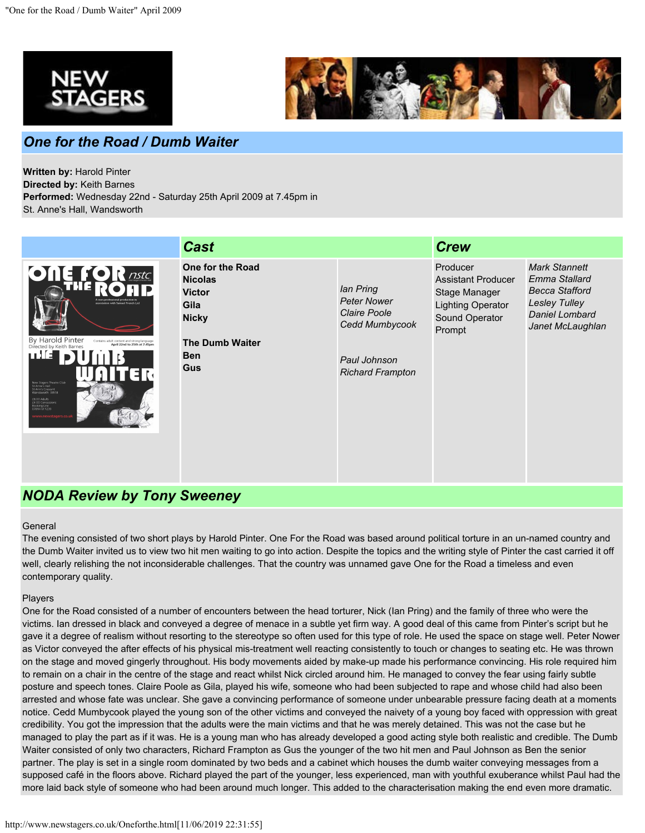



# *One for the Road / Dumb Waiter*

**Written by:** Harold Pinter

**Directed by:** Keith Barnes

**Performed:** Wednesday 22nd - Saturday 25th April 2009 at 7.45pm in St. Anne's Hall, Wandsworth

|                                                                                                                                                                                                                                                                                                                                                                                                                                             | <b>Cast</b>                                                                                                                       |                                                                                                              | <b>Crew</b>                                                                                                    |                                                                                                                                     |
|---------------------------------------------------------------------------------------------------------------------------------------------------------------------------------------------------------------------------------------------------------------------------------------------------------------------------------------------------------------------------------------------------------------------------------------------|-----------------------------------------------------------------------------------------------------------------------------------|--------------------------------------------------------------------------------------------------------------|----------------------------------------------------------------------------------------------------------------|-------------------------------------------------------------------------------------------------------------------------------------|
| $\bigcirc$ $\bigcap$ $\bigcirc$ $\bigcap$ $\bigcirc$ $\bigcirc$ $\bigcirc$<br>A non-professional production in<br>association with Samuel French Ltc<br>By Harold Pinter<br>Contains adult content and strong language<br>April 22nd to 25th at 7.45pm<br>Directed by Keith Barnes<br>ш<br>ᅼ<br>New Stagers Theatre Club<br>St Ann's Crescent<br>Wandsworth SW18<br>E8.00 Adults<br>£4 00 Concessions<br>Booking Line<br>w.newstagers.co.ul | One for the Road<br><b>Nicolas</b><br><b>Victor</b><br>Gila<br><b>Nicky</b><br><b>The Dumb Waiter</b><br><b>Ben</b><br><b>Gus</b> | lan Pring<br><b>Peter Nower</b><br>Claire Poole<br>Cedd Mumbycook<br>Paul Johnson<br><b>Richard Frampton</b> | Producer<br><b>Assistant Producer</b><br>Stage Manager<br><b>Lighting Operator</b><br>Sound Operator<br>Prompt | <b>Mark Stannett</b><br>Emma Stallard<br><b>Becca Stafford</b><br><b>Lesley Tulley</b><br><b>Daniel Lombard</b><br>Janet McLaughlan |

# *NODA Review by Tony Sweeney*

#### **General**

The evening consisted of two short plays by Harold Pinter. One For the Road was based around political torture in an un-named country and the Dumb Waiter invited us to view two hit men waiting to go into action. Despite the topics and the writing style of Pinter the cast carried it off well, clearly relishing the not inconsiderable challenges. That the country was unnamed gave One for the Road a timeless and even contemporary quality.

# Players

One for the Road consisted of a number of encounters between the head torturer, Nick (Ian Pring) and the family of three who were the victims. Ian dressed in black and conveyed a degree of menace in a subtle yet firm way. A good deal of this came from Pinter's script but he gave it a degree of realism without resorting to the stereotype so often used for this type of role. He used the space on stage well. Peter Nower as Victor conveyed the after effects of his physical mis-treatment well reacting consistently to touch or changes to seating etc. He was thrown on the stage and moved gingerly throughout. His body movements aided by make-up made his performance convincing. His role required him to remain on a chair in the centre of the stage and react whilst Nick circled around him. He managed to convey the fear using fairly subtle posture and speech tones. Claire Poole as Gila, played his wife, someone who had been subjected to rape and whose child had also been arrested and whose fate was unclear. She gave a convincing performance of someone under unbearable pressure facing death at a moments notice. Cedd Mumbycook played the young son of the other victims and conveyed the naivety of a young boy faced with oppression with great credibility. You got the impression that the adults were the main victims and that he was merely detained. This was not the case but he managed to play the part as if it was. He is a young man who has already developed a good acting style both realistic and credible. The Dumb Waiter consisted of only two characters, Richard Frampton as Gus the younger of the two hit men and Paul Johnson as Ben the senior partner. The play is set in a single room dominated by two beds and a cabinet which houses the dumb waiter conveying messages from a supposed café in the floors above. Richard played the part of the younger, less experienced, man with youthful exuberance whilst Paul had the more laid back style of someone who had been around much longer. This added to the characterisation making the end even more dramatic.